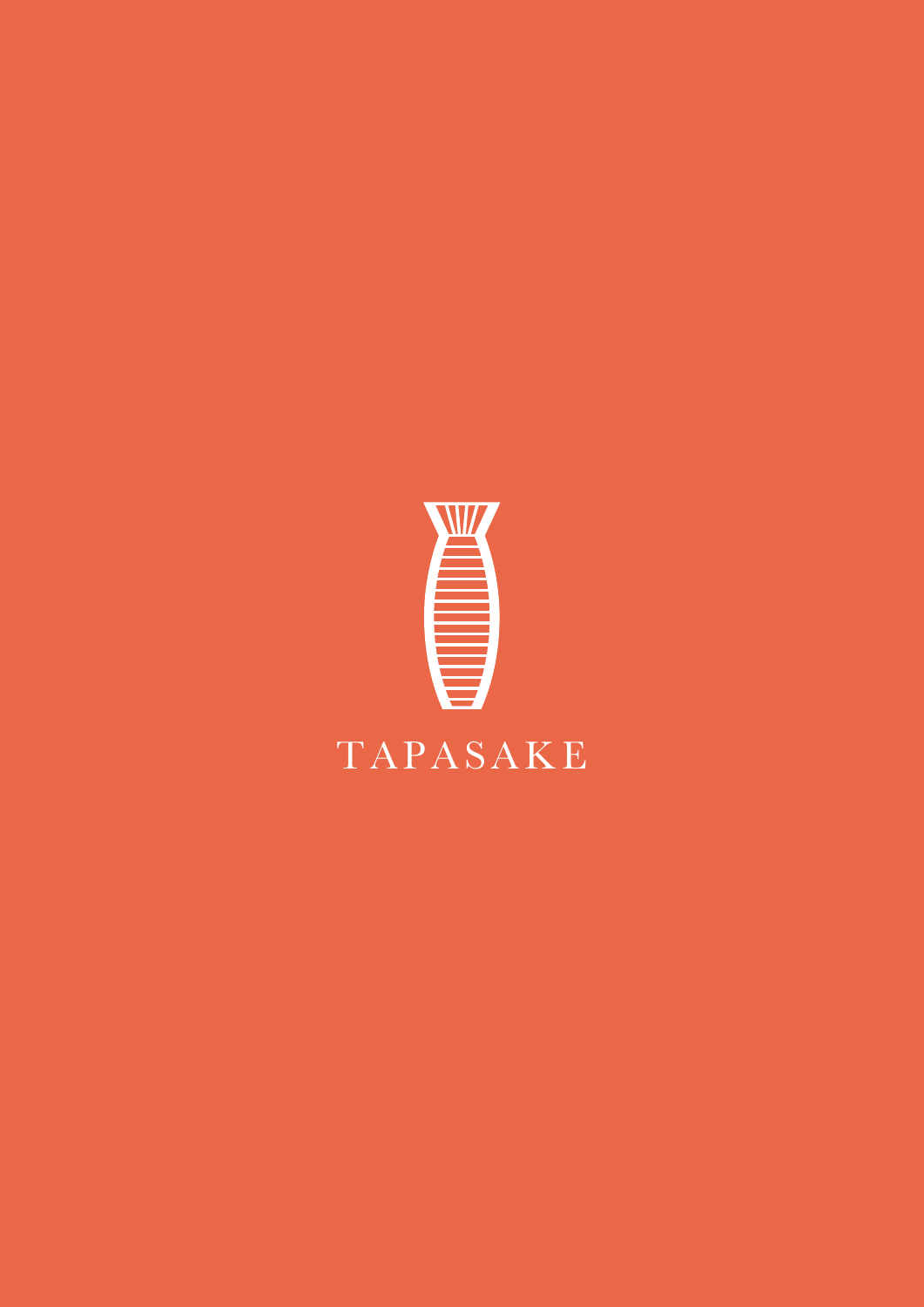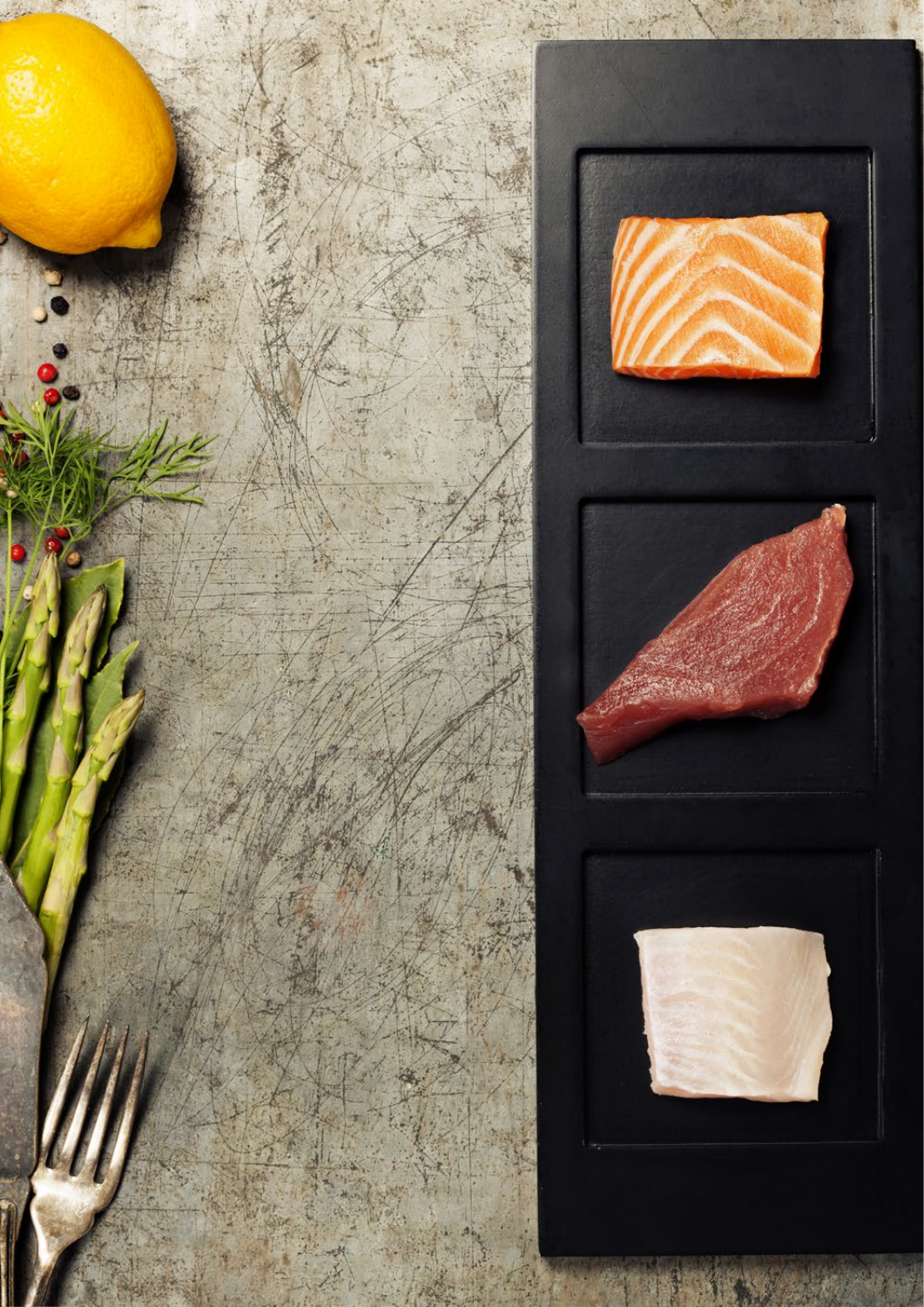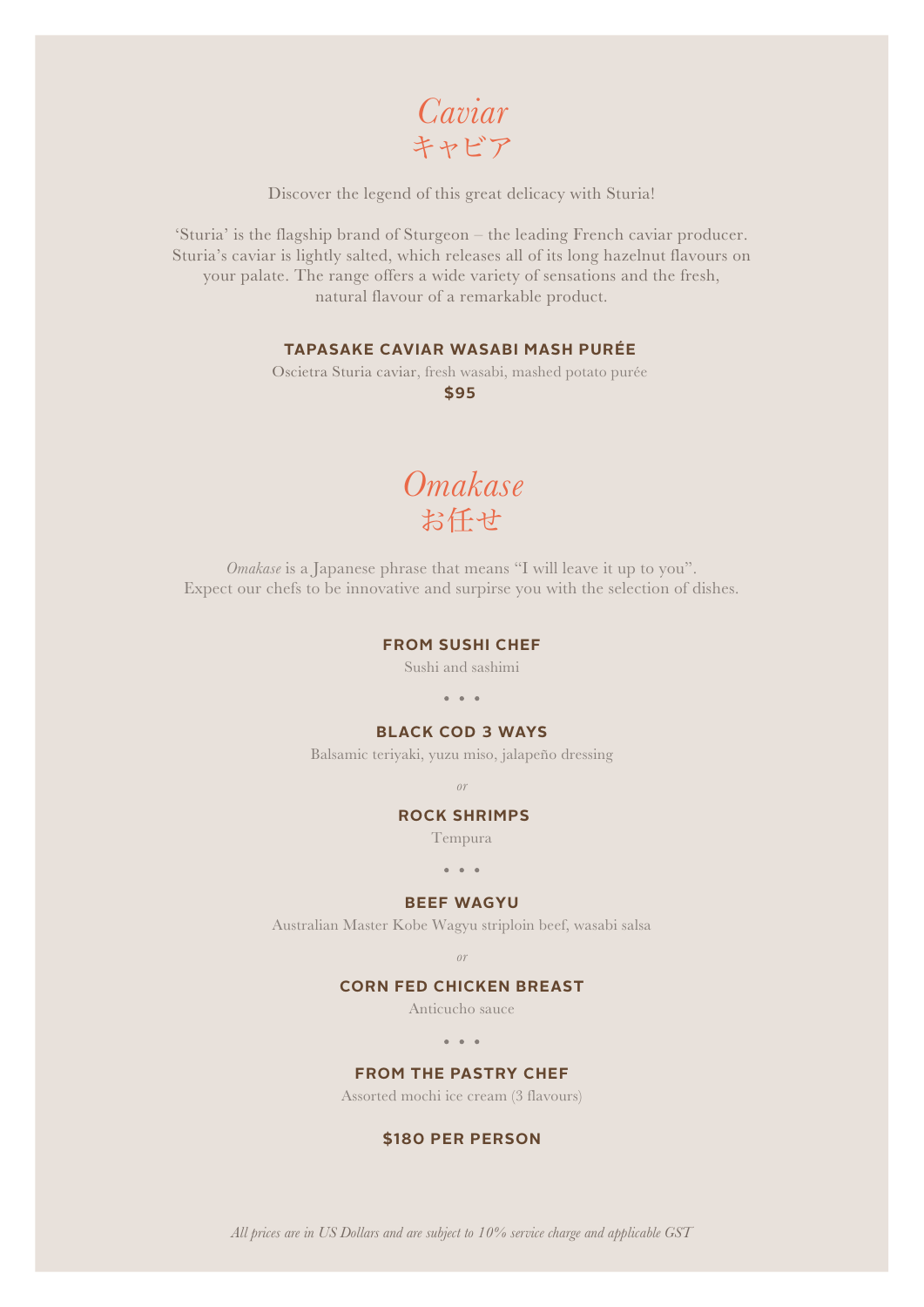

Discover the legend of this great delicacy with Sturia!

'Sturia' is the flagship brand of Sturgeon – the leading French caviar producer. Sturia's caviar is lightly salted, which releases all of its long hazelnut flavours on your palate. The range offers a wide variety of sensations and the fresh, natural flavour of a remarkable product.

### **TAPASAKE CAVIAR WASABI MASH PURÉE**

Oscietra Sturia caviar, fresh wasabi, mashed potato purée

**\$95**



*Omakase* is a Japanese phrase that means "I will leave it up to you". Expect our chefs to be innovative and surpirse you with the selection of dishes.

#### **FROM SUSHI CHEF**

Sushi and sashimi

 $\sim$   $\sim$   $\sim$ 

### **BLACK COD 3 WAYS**

Balsamic teriyaki, yuzu miso, jalapeño dressing

*or*

### **ROCK SHRIMPS**

Tempura

 $\hat{\mathbf{u}} = \hat{\mathbf{u}} - \hat{\mathbf{u}}$ 

### **BEEF WAGYU**

Australian Master Kobe Wagyu striploin beef, wasabi salsa

*or*

### **CORN FED CHICKEN BREAST**

Anticucho sauce

#### $\ddot{\mathbf{a}}$  =  $\ddot{\mathbf{a}}$  =  $\ddot{\mathbf{a}}$

#### **FROM THE PASTRY CHEF**

Assorted mochi ice cream (3 flavours)

#### **\$180 PER PERSON**

*All prices are in US Dollars and are subject to 10% service charge and applicable GST*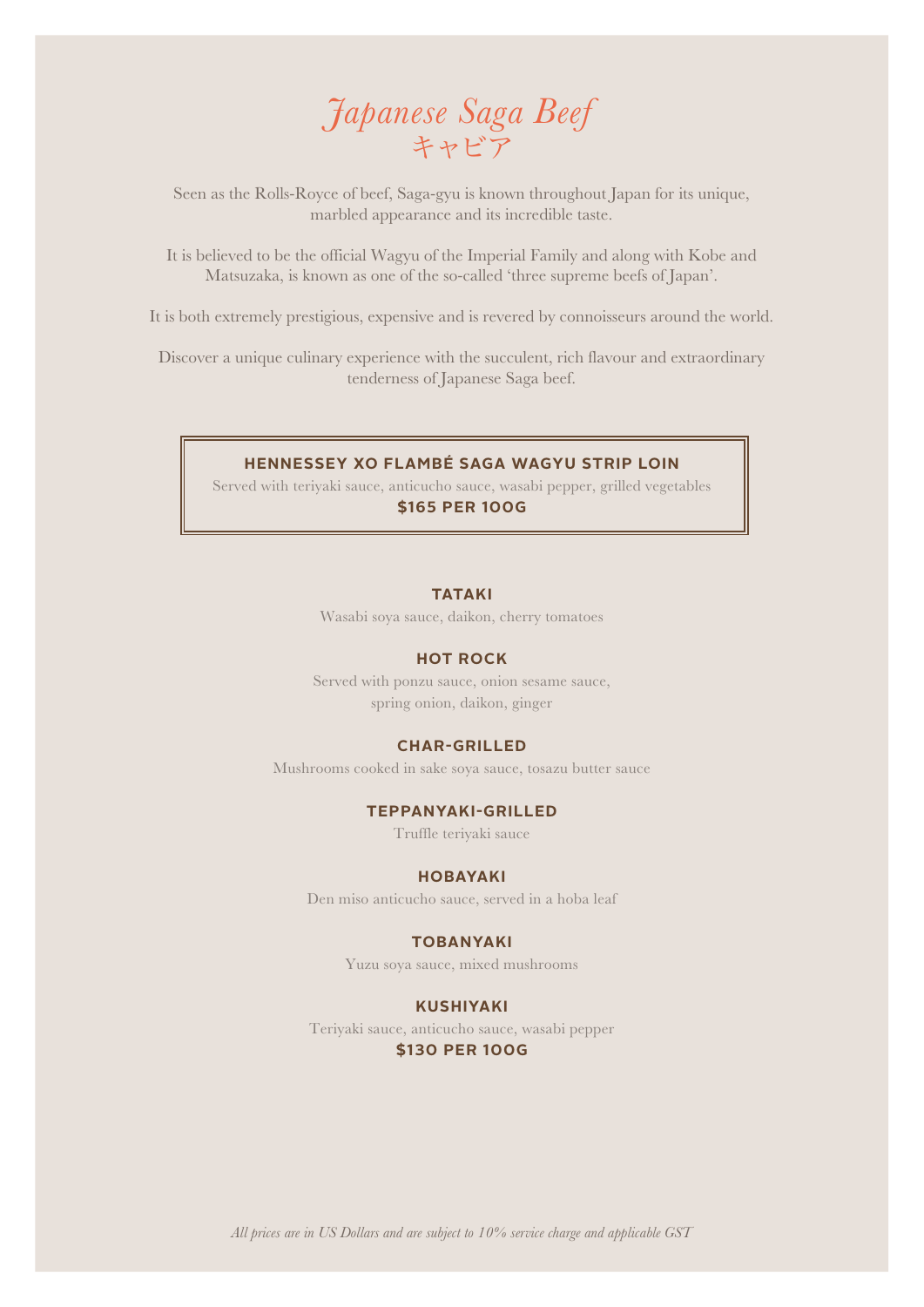

Seen as the Rolls-Royce of beef, Saga-gyu is known throughout Japan for its unique, marbled appearance and its incredible taste.

It is believed to be the official Wagyu of the Imperial Family and along with Kobe and Matsuzaka, is known as one of the so-called 'three supreme beefs of Japan'.

It is both extremely prestigious, expensive and is revered by connoisseurs around the world.

Discover a unique culinary experience with the succulent, rich flavour and extraordinary tenderness of Japanese Saga beef.

## **HENNESSEY XO FLAMBÉ SAGA WAGYU STRIP LOIN**

Served with teriyaki sauce, anticucho sauce, wasabi pepper, grilled vegetables **\$165 PER 100G**

### **TATAKI**

Wasabi soya sauce, daikon, cherry tomatoes

### **HOT ROCK**

Served with ponzu sauce, onion sesame sauce, spring onion, daikon, ginger

#### **CHAR-GRILLED**

Mushrooms cooked in sake soya sauce, tosazu butter sauce

#### **TEPPANYAKI-GRILLED**

Truffle teriyaki sauce

### **HOBAYAKI**

Den miso anticucho sauce, served in a hoba leaf

#### **TOBANYAKI**

Yuzu soya sauce, mixed mushrooms

#### **KUSHIYAKI**

Teriyaki sauce, anticucho sauce, wasabi pepper **\$130 PER 100G**

*All prices are in US Dollars and are subject to 10% service charge and applicable GST*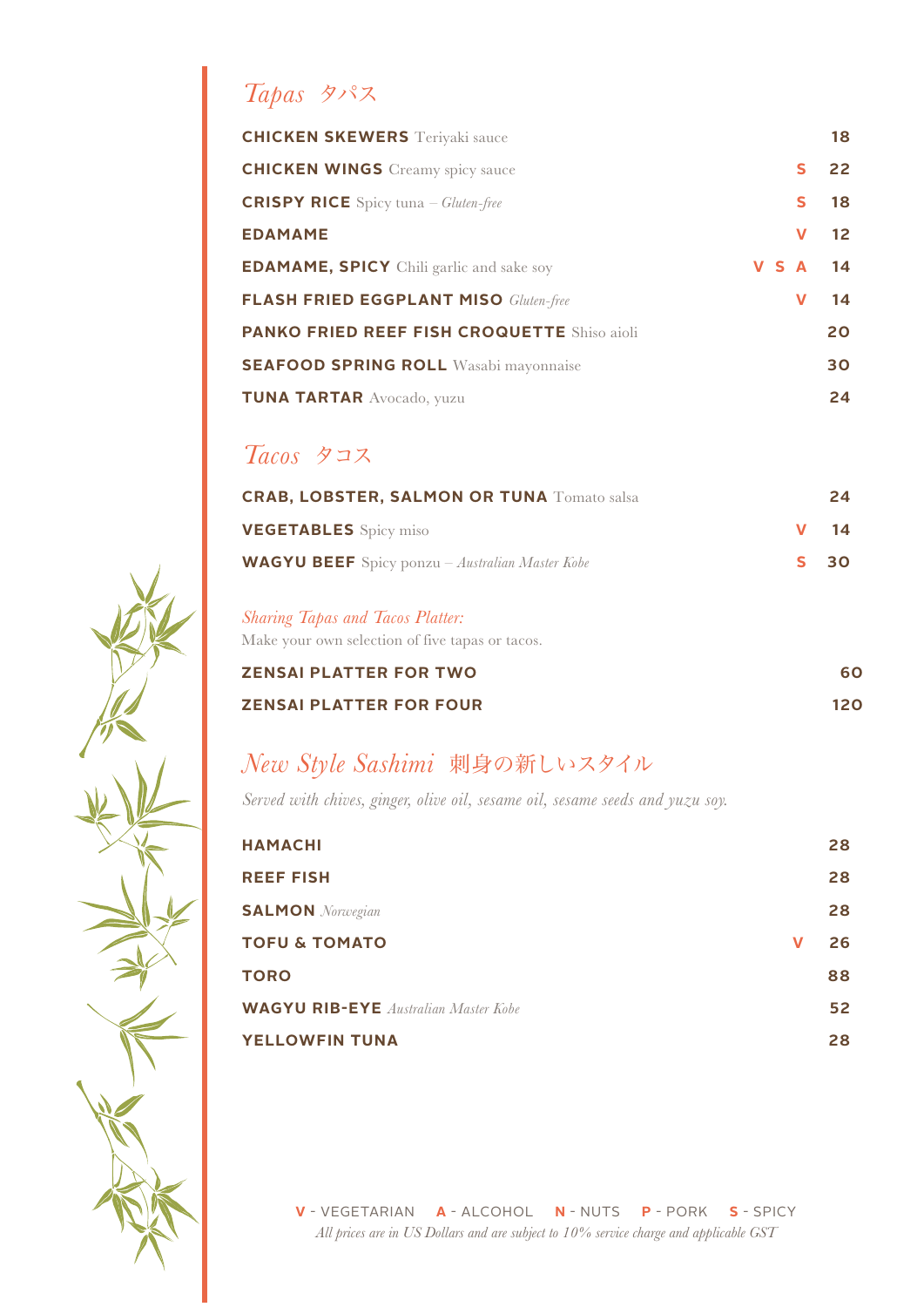# *Tapas* タパス

| <b>CHICKEN SKEWERS</b> Teriyaki sauce              |            | 18                |
|----------------------------------------------------|------------|-------------------|
| <b>CHICKEN WINGS</b> Creamy spicy sauce            |            | 22<br>S           |
| <b>CRISPY RICE</b> Spicy tuna – Gluten-free        |            | 18<br>S           |
| <b>EDAMAME</b>                                     |            | 12<br>$\mathbf v$ |
| <b>EDAMAME, SPICY</b> Chili garlic and sake soy    | <b>VSA</b> | 14                |
| <b>FLASH FRIED EGGPLANT MISO</b> Gluten-free       |            | 14<br>v           |
| <b>PANKO FRIED REEF FISH CROQUETTE</b> Shiso aioli |            | 20                |
| <b>SEAFOOD SPRING ROLL Wasabi mayonnaise</b>       |            | 30                |
| <b>TUNA TARTAR Avocado, yuzu</b>                   |            | 24                |
|                                                    |            |                   |

## *Tacos* タコス

| <b>CRAB, LOBSTER, SALMON OR TUNA Tomato salsa</b>      | 24     |
|--------------------------------------------------------|--------|
| <b>VEGETABLES</b> Spicy miso                           | $V$ 14 |
| <b>WAGYU BEEF</b> Spicy ponzu – Australian Master Kobe | $S$ 30 |
|                                                        |        |

*Sharing Tapas and Tacos Platter:* Make your own selection of five tapas or tacos.

| <b>ZENSAI PLATTER FOR TWO</b>  | 60  |
|--------------------------------|-----|
| <b>ZENSAI PLATTER FOR FOUR</b> | 120 |

# *New Style Sashimi* 刺身の新しいスタイル

*Served with chives, ginger, olive oil, sesame oil, sesame seeds and yuzu soy.*

| <b>HAMACHI</b>                              |   | 28 |
|---------------------------------------------|---|----|
| <b>REEF FISH</b>                            |   | 28 |
| <b>SALMON</b> Norwegian                     |   | 28 |
| <b>TOFU &amp; TOMATO</b>                    | v | 26 |
| <b>TORO</b>                                 |   | 88 |
| <b>WAGYU RIB-EYE</b> Australian Master Kobe |   | 52 |
| <b>YELLOWFIN TUNA</b>                       |   | 28 |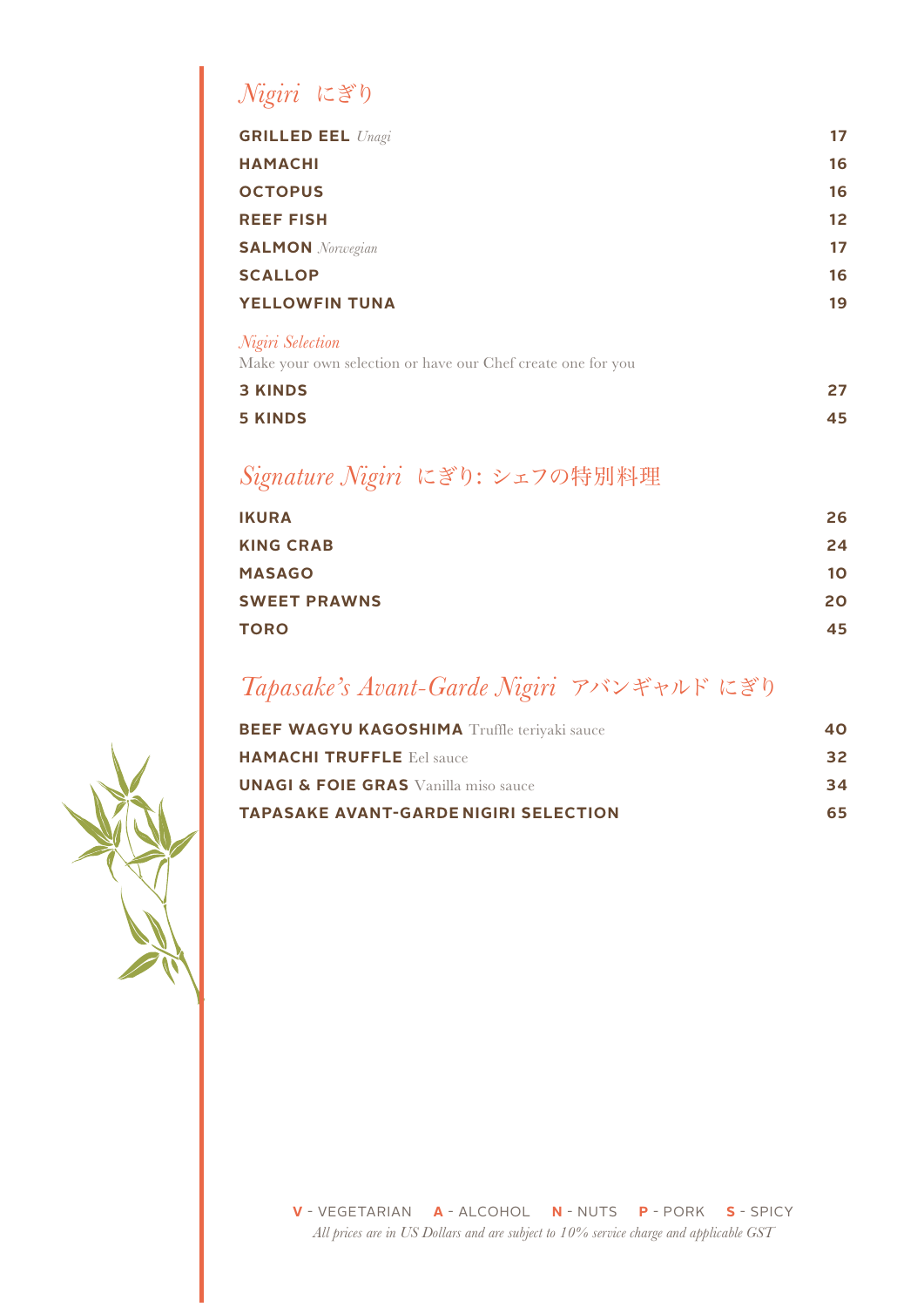# *Nigiri* にぎり

| <b>GRILLED EEL</b> Unagi | 17 |
|--------------------------|----|
| <b>HAMACHI</b>           | 16 |
| <b>OCTOPUS</b>           | 16 |
| <b>REEF FISH</b>         | 12 |
| <b>SALMON</b> Norwegian  | 17 |
| <b>SCALLOP</b>           | 16 |
| YELLOWFIN TUNA           | 19 |
|                          |    |

*Nigiri Selection* Make your own selection or have our Chef create one for you

| <b>3 KINDS</b> | 27 |
|----------------|----|
| <b>5 KINDS</b> | 45 |

# *Signature Nigiri* にぎり: シェフの特別料理

| 26 |
|----|
| 24 |
| 10 |
| 20 |
| 45 |
|    |

# *Tapasake's Avant-Garde Nigiri* アバンギャルド にぎり

| <b>BEEF WAGYU KAGOSHIMA</b> Truffle teriyaki sauce | 40 |
|----------------------------------------------------|----|
| <b>HAMACHI TRUFFLE</b> Eel sauce                   | 32 |
| <b>UNAGI &amp; FOIE GRAS</b> Vanilla miso sauce    | 34 |
| <b>TAPASAKE AVANT-GARDE NIGIRI SELECTION</b>       | 65 |

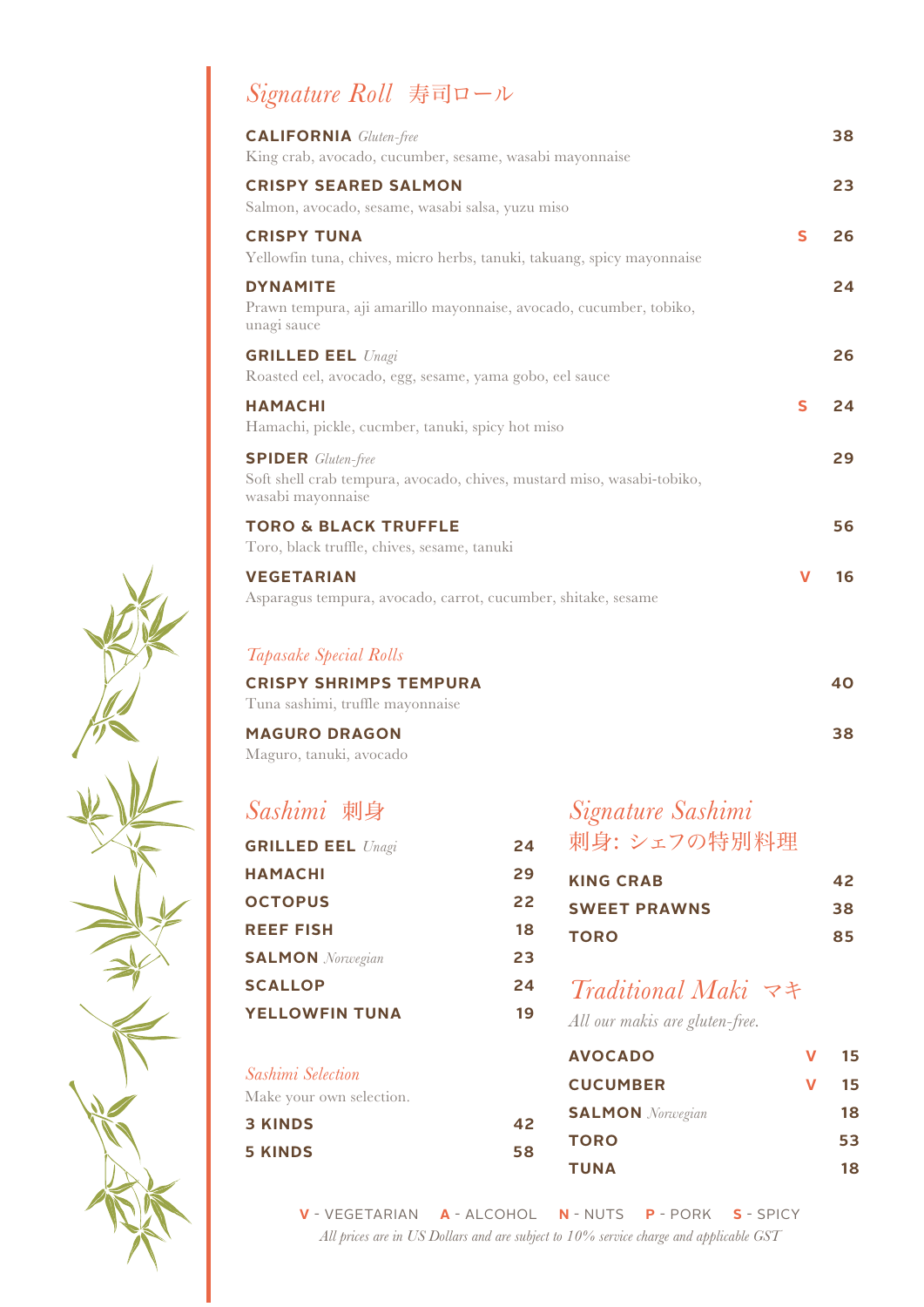# *Signature Roll* 寿司ロール

| <b>CALIFORNIA</b> Gluten-free<br>King crab, avocado, cucumber, sesame, wasabi mayonnaise                                 |              | 38 |
|--------------------------------------------------------------------------------------------------------------------------|--------------|----|
| <b>CRISPY SEARED SALMON</b><br>Salmon, avocado, sesame, wasabi salsa, yuzu miso                                          |              | 23 |
| <b>CRISPY TUNA</b><br>Yellowfin tuna, chives, micro herbs, tanuki, takuang, spicy mayonnaise                             | $\mathsf{S}$ | 26 |
| <b>DYNAMITE</b><br>Prawn tempura, aji amarillo mayonnaise, avocado, cucumber, tobiko,<br>unagi sauce                     |              | 24 |
| <b>GRILLED EEL</b> Unagi<br>Roasted eel, avocado, egg, sesame, yama gobo, eel sauce                                      |              | 26 |
| <b>HAMACHI</b><br>Hamachi, pickle, cucmber, tanuki, spicy hot miso                                                       | S            | 24 |
| <b>SPIDER</b> Gluten-free<br>Soft shell crab tempura, avocado, chives, mustard miso, wasabi-tobiko,<br>wasabi mayonnaise |              | 29 |
| <b>TORO &amp; BLACK TRUFFLE</b><br>Toro, black truffle, chives, sesame, tanuki                                           |              | 56 |
| <b>VEGETARIAN</b><br>Asparagus tempura, avocado, carrot, cucumber, shitake, sesame                                       | V            | 16 |
| Tapasake Special Rolls                                                                                                   |              |    |
| <b>CRISPY SHRIMPS TEMPURA</b><br>Tuna sashimi, truffle mayonnaise                                                        |              | 40 |

**MAGURO DRAGON 38** Maguro, tanuki, avocado

## *Sashimi* 刺身 *Signature Sashimi*

| <b>GRILLED EEL</b> Unagi | 24 | 刺身: シェフの特別料理                        |    |
|--------------------------|----|-------------------------------------|----|
| <b>HAMACHI</b>           | 29 | <b>KING CRAB</b>                    | 42 |
| <b>OCTOPUS</b>           | 22 | <b>SWEET PRAWNS</b>                 | 38 |
| <b>REEF FISH</b>         | 18 | <b>TORO</b>                         | 85 |
| <b>SALMON</b> Norwegian  | 23 |                                     |    |
| <b>SCALLOP</b>           | 24 | <i>Traditional Maki</i> $\forall$ + |    |
| YELLOWFIN TUNA           | 19 | All our makis are gluten-free.      |    |
|                          |    |                                     |    |

|                                            |    | <b>AVOCADO</b>          | 15 |
|--------------------------------------------|----|-------------------------|----|
| Sashimi Selection                          |    | <b>CUCUMBER</b>         | 15 |
| Make your own selection.<br><b>3 KINDS</b> | 42 | <b>SALMON</b> Norwegian | 18 |
| <b>5 KINDS</b>                             | 58 | <b>TORO</b>             | 53 |
|                                            |    | <b>TUNA</b>             | 18 |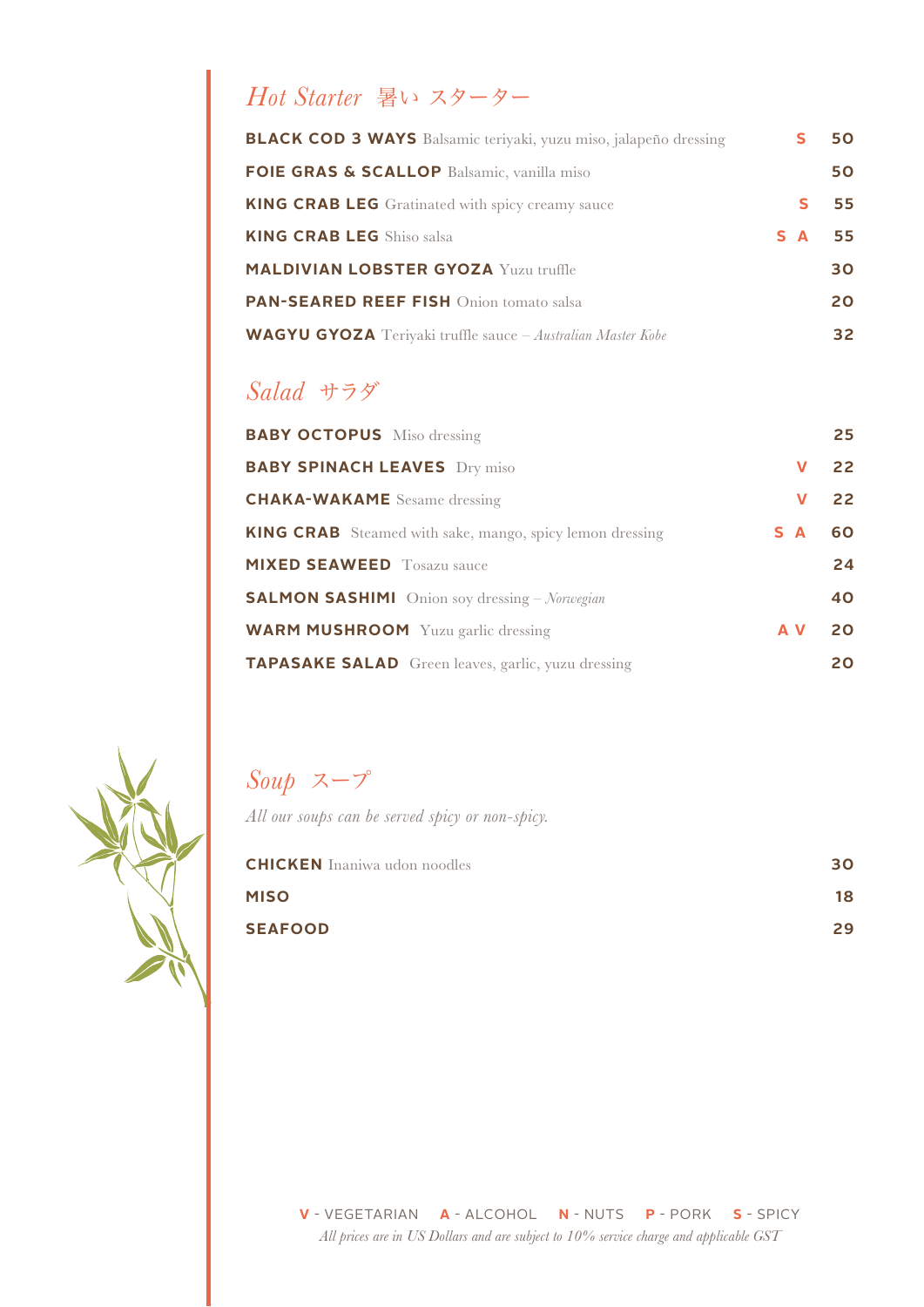# *Hot Starter* 暑い スターター

| BLACK COD 3 WAYS Balsamic teriyaki, yuzu miso, jalapeño dressing   | s.  | 50 |
|--------------------------------------------------------------------|-----|----|
| <b>FOIE GRAS &amp; SCALLOP Balsamic, vanilla miso</b>              |     | 50 |
| <b>KING CRAB LEG</b> Gratinated with spicy creamy sauce            |     | 55 |
| <b>KING CRAB LEG</b> Shiso salsa                                   | S A | 55 |
| <b>MALDIVIAN LOBSTER GYOZA Yuzu truffle</b>                        |     | 30 |
| <b>PAN-SEARED REEF FISH Onion tomato salsa</b>                     |     | 20 |
| <b>WAGYU GYOZA</b> Teriyaki truffle sauce - Australian Master Kobe |     | 32 |

# *Salad* サラダ

| <b>BABY OCTOPUS</b> Miso dressing                         |     | 25 |
|-----------------------------------------------------------|-----|----|
| <b>BABY SPINACH LEAVES</b> Dry miso                       | v   | 22 |
| <b>CHAKA-WAKAME</b> Sesame dressing                       | v   | 22 |
| KING CRAB Steamed with sake, mango, spicy lemon dressing  | S A | 60 |
| <b>MIXED SEAWEED</b> Tosazu sauce                         |     | 24 |
| <b>SALMON SASHIMI</b> Onion soy dressing - Norwegian      |     | 40 |
| <b>WARM MUSHROOM</b> Yuzu garlic dressing                 | A V | 20 |
| <b>TAPASAKE SALAD</b> Green leaves, garlic, yuzu dressing |     | 20 |

*Soup* スープ

*All our soups can be served spicy or non-spicy.*

| <b>CHICKEN</b> Inaniwa udon noodles | 30 |
|-------------------------------------|----|
| <b>MISO</b>                         | 18 |
| <b>SEAFOOD</b>                      | 29 |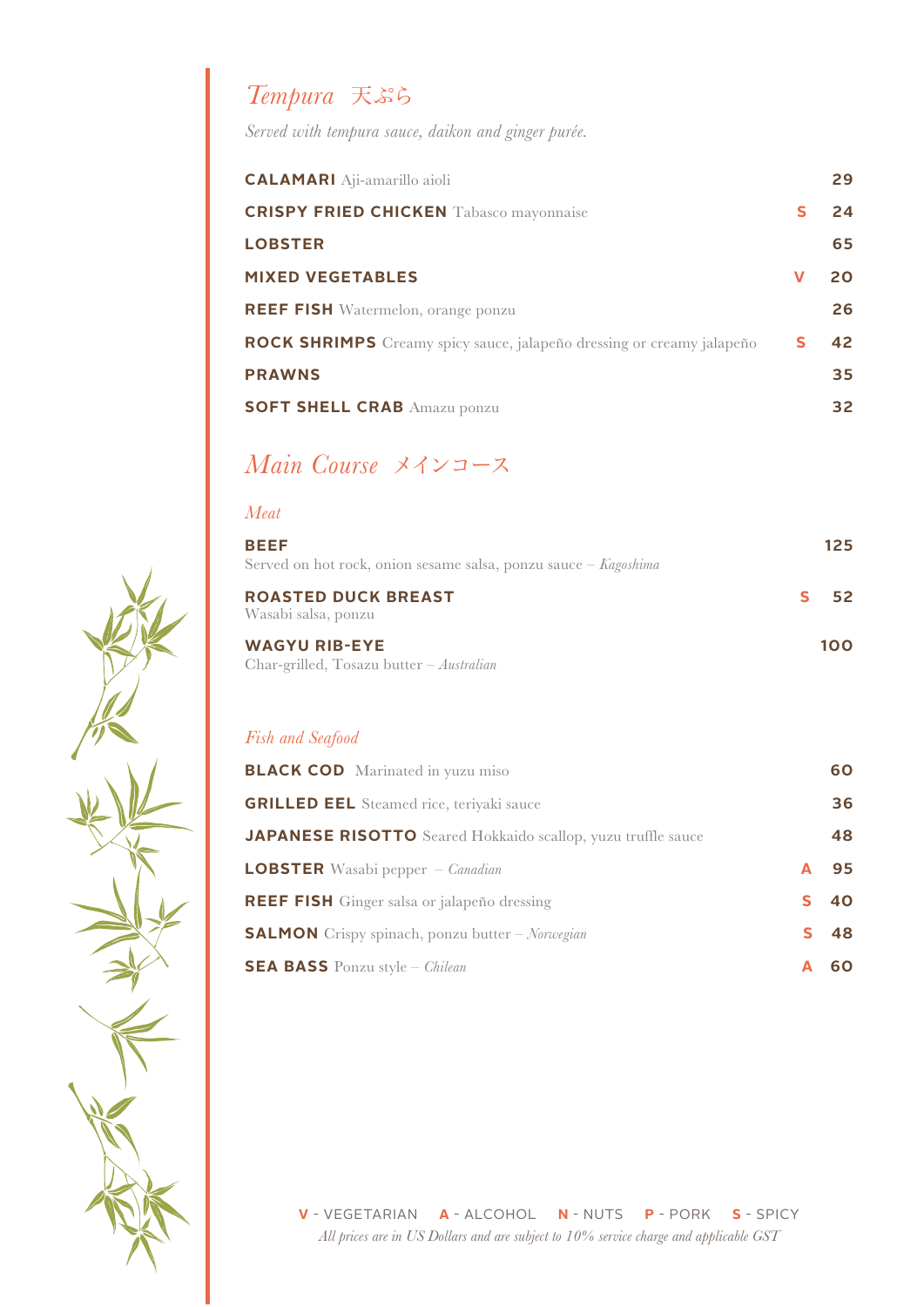# *Tempura* 天ぷら

*Served with tempura sauce, daikon and ginger purée.*

| <b>CALAMARI</b> Aji-amarillo aioli                                           |   | 29 |
|------------------------------------------------------------------------------|---|----|
| <b>CRISPY FRIED CHICKEN</b> Tabasco mayonnaise                               | ς | 24 |
| <b>LOBSTER</b>                                                               |   | 65 |
| <b>MIXED VEGETABLES</b>                                                      | v | 20 |
| <b>REEF FISH</b> Watermelon, orange ponzu                                    |   | 26 |
| <b>ROCK SHRIMPS</b> Creamy spicy sauce, jalapeño dressing or creamy jalapeño | S | 42 |
| <b>PRAWNS</b>                                                                |   | 35 |
| <b>SOFT SHELL CRAB Amazu ponzu</b>                                           |   | 32 |

# *Main Course* メインコース

## *Meat*

| BEEF<br>Served on hot rock, onion sesame salsa, ponzu sauce – Kagoshima | 125 |
|-------------------------------------------------------------------------|-----|
| <b>ROASTED DUCK BREAST</b><br>Wasabi salsa, ponzu                       | 52  |
| <b>WAGYU RIB-EYE</b>                                                    | 100 |
| Char-grilled, Tosazu butter – Australian                                |     |

## *Fish and Seafood*

| <b>BLACK COD</b> Marinated in yuzu miso                      |    | 60 |
|--------------------------------------------------------------|----|----|
| <b>GRILLED EEL</b> Steamed rice, teriyaki sauce              |    | 36 |
| JAPANESE RISOTTO Seared Hokkaido scallop, yuzu truffle sauce |    | 48 |
| <b>LOBSTER</b> Wasabi pepper – Canadian                      | Δ  | 95 |
| <b>REEF FISH</b> Ginger salsa or jalapeño dressing           |    | 40 |
| <b>SALMON</b> Crispy spinach, ponzu butter - Norwegian       | ς. | 48 |
| <b>SEA BASS</b> Ponzu style - Chilean                        |    | 60 |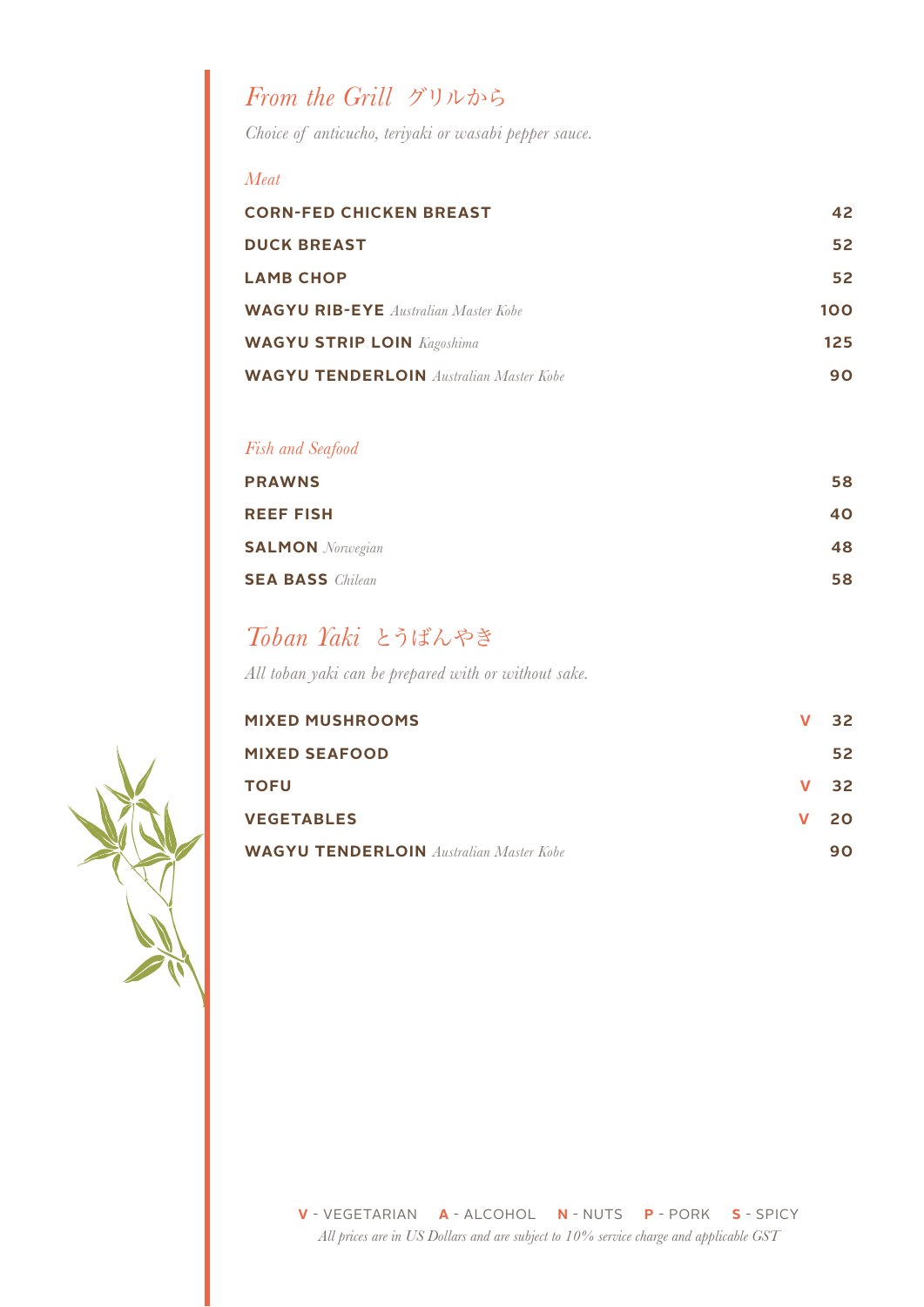## *From the Grill* グリルから

*Choice of anticucho, teriyaki or wasabi pepper sauce.*

### *Meat*

| <b>CORN-FED CHICKEN BREAST</b>                 | 42  |
|------------------------------------------------|-----|
| <b>DUCK BREAST</b>                             | 52  |
| <b>LAMB CHOP</b>                               | 52  |
| <b>WAGYU RIB-EYE</b> Australian Master Kobe    | 100 |
| <b>WAGYU STRIP LOIN</b> Kagoshima              | 125 |
| <b>WAGYU TENDERLOIN</b> Australian Master Kobe | 90  |

## *Fish and Seafood*

| <b>PRAWNS</b>           | 58 |
|-------------------------|----|
| <b>REEF FISH</b>        | 40 |
| <b>SALMON</b> Norwegian | 48 |
| <b>SEA BASS</b> Chilean | 58 |

## *Toban Yaki* とうばんやき

*All toban yaki can be prepared with or without sake.*

| <b>MIXED MUSHROOMS</b>                         | v | 32   |
|------------------------------------------------|---|------|
| <b>MIXED SEAFOOD</b>                           |   | 52   |
| <b>TOFU</b>                                    | v | - 32 |
| <b>VEGETABLES</b>                              | v | 20   |
| <b>WAGYU TENDERLOIN</b> Australian Master Kobe |   | 90   |

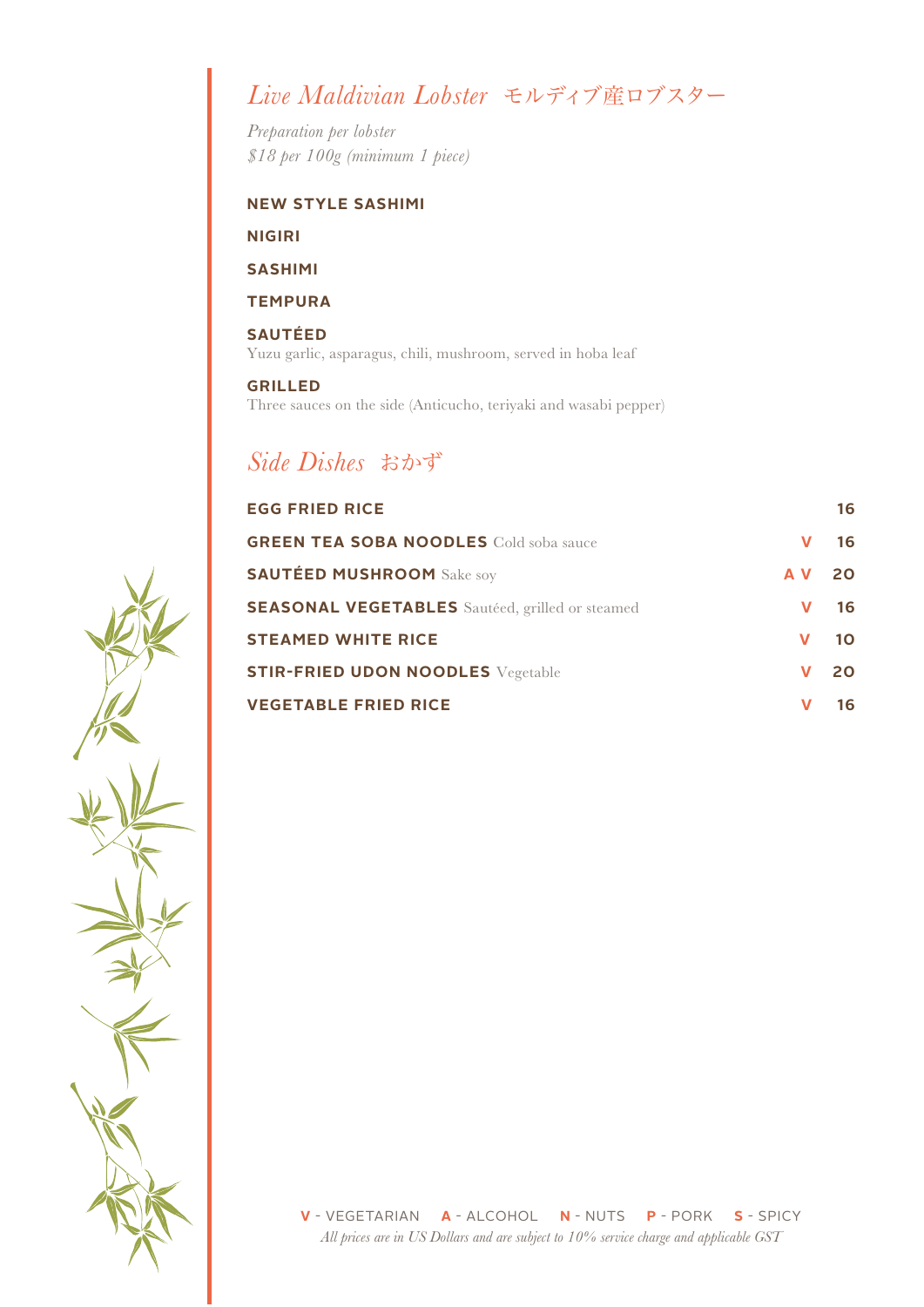# *Live Maldivian Lobster* モルディブ産ロブスター

*Preparation per lobster \$18 per 100g (minimum 1 piece)*

## **NEW STYLE SASHIMI**

**NIGIRI**

**SASHIMI** 

**TEMPURA** 

**SAUTÉED** Yuzu garlic, asparagus, chili, mushroom, served in hoba leaf

**GRILLED** Three sauces on the side (Anticucho, teriyaki and wasabi pepper)

# *Side Dishes* おかず

| <b>EGG FRIED RICE</b>                                  |        | 16 |
|--------------------------------------------------------|--------|----|
| <b>GREEN TEA SOBA NOODLES</b> Cold soba sauce          | v      | 16 |
| <b>SAUTÉED MUSHROOM</b> Sake soy                       | A V 20 |    |
| <b>SEASONAL VEGETABLES</b> Sautéed, grilled or steamed | v      | 16 |
| <b>STEAMED WHITE RICE</b>                              | v      | 10 |
| <b>STIR-FRIED UDON NOODLES</b> Vegetable               | v      | 20 |
| <b>VEGETABLE FRIED RICE</b>                            |        | 16 |